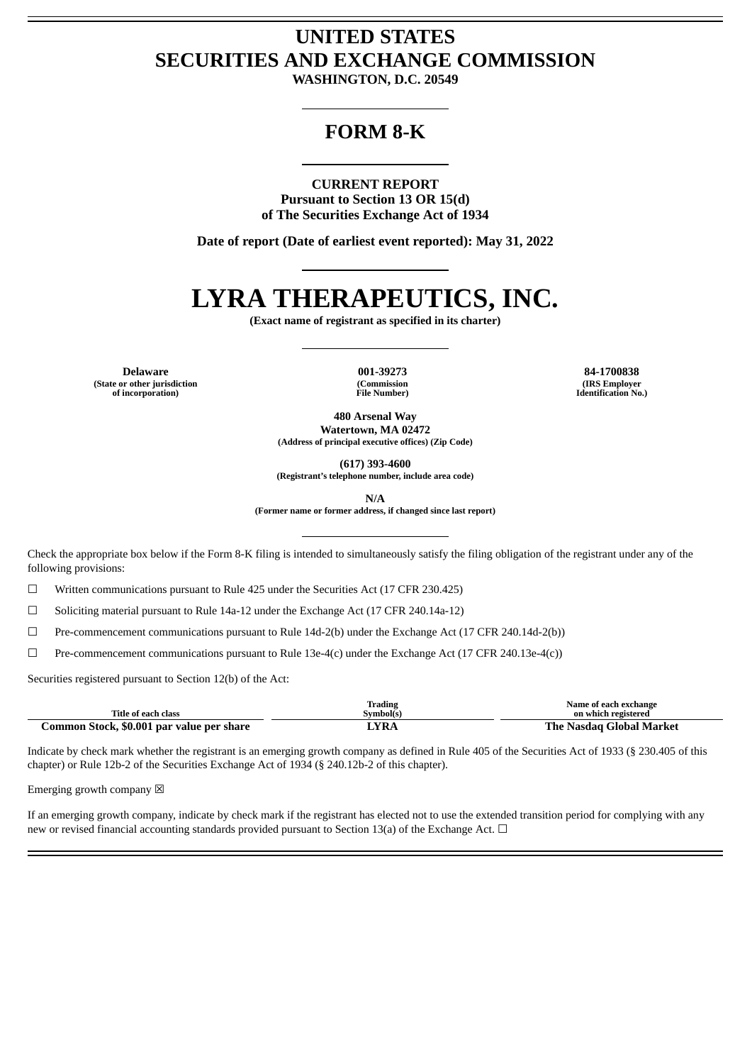## **UNITED STATES SECURITIES AND EXCHANGE COMMISSION**

**WASHINGTON, D.C. 20549**

### **FORM 8-K**

### **CURRENT REPORT**

**Pursuant to Section 13 OR 15(d) of The Securities Exchange Act of 1934**

**Date of report (Date of earliest event reported): May 31, 2022**

# **LYRA THERAPEUTICS, INC.**

**(Exact name of registrant as specified in its charter)**

**Delaware 001-39273 84-1700838 (State or other jurisdiction of incorporation)**

**(Commission File Number)**

**(IRS Employer Identification No.)**

**480 Arsenal Way Watertown, MA 02472 (Address of principal executive offices) (Zip Code)**

**(617) 393-4600**

**(Registrant's telephone number, include area code)**

**N/A**

**(Former name or former address, if changed since last report)**

Check the appropriate box below if the Form 8-K filing is intended to simultaneously satisfy the filing obligation of the registrant under any of the following provisions:

 $\Box$  Written communications pursuant to Rule 425 under the Securities Act (17 CFR 230.425)

☐ Soliciting material pursuant to Rule 14a-12 under the Exchange Act (17 CFR 240.14a-12)

 $\Box$  Pre-commencement communications pursuant to Rule 14d-2(b) under the Exchange Act (17 CFR 240.14d-2(b))

☐ Pre-commencement communications pursuant to Rule 13e-4(c) under the Exchange Act (17 CFR 240.13e-4(c))

Securities registered pursuant to Section 12(b) of the Act:

|                                           | Trading   | Name of each exchange    |
|-------------------------------------------|-----------|--------------------------|
| Title of each class                       | Symbol(s) | on which registered      |
| Common Stock, \$0.001 par value per share | `YRA      | The Nasdag Global Market |

Indicate by check mark whether the registrant is an emerging growth company as defined in Rule 405 of the Securities Act of 1933 (§ 230.405 of this chapter) or Rule 12b-2 of the Securities Exchange Act of 1934 (§ 240.12b-2 of this chapter).

Emerging growth company  $\boxtimes$ 

If an emerging growth company, indicate by check mark if the registrant has elected not to use the extended transition period for complying with any new or revised financial accounting standards provided pursuant to Section 13(a) of the Exchange Act.  $\Box$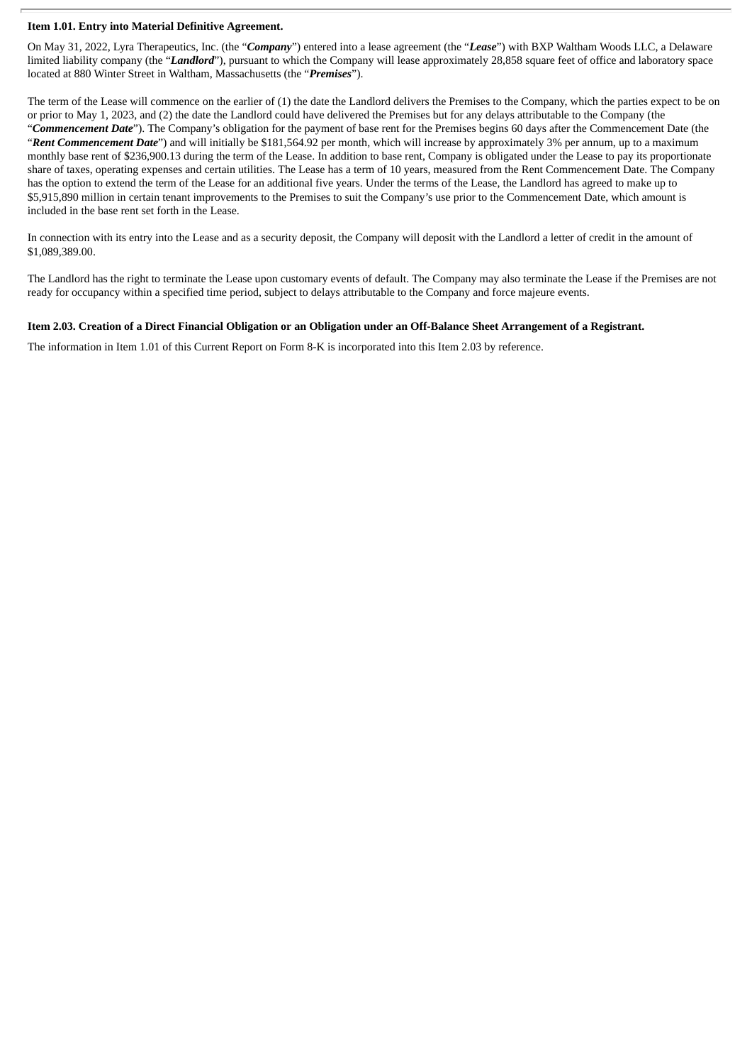### **Item 1.01. Entry into Material Definitive Agreement.**

On May 31, 2022, Lyra Therapeutics, Inc. (the "*Company*") entered into a lease agreement (the "*Lease*") with BXP Waltham Woods LLC, a Delaware limited liability company (the "*Landlord*"), pursuant to which the Company will lease approximately 28,858 square feet of office and laboratory space located at 880 Winter Street in Waltham, Massachusetts (the "*Premises*").

The term of the Lease will commence on the earlier of (1) the date the Landlord delivers the Premises to the Company, which the parties expect to be on or prior to May 1, 2023, and (2) the date the Landlord could have delivered the Premises but for any delays attributable to the Company (the "*Commencement Date*"). The Company's obligation for the payment of base rent for the Premises begins 60 days after the Commencement Date (the "*Rent Commencement Date*") and will initially be \$181,564.92 per month, which will increase by approximately 3% per annum, up to a maximum monthly base rent of \$236,900.13 during the term of the Lease. In addition to base rent, Company is obligated under the Lease to pay its proportionate share of taxes, operating expenses and certain utilities. The Lease has a term of 10 years, measured from the Rent Commencement Date. The Company has the option to extend the term of the Lease for an additional five years. Under the terms of the Lease, the Landlord has agreed to make up to \$5,915,890 million in certain tenant improvements to the Premises to suit the Company's use prior to the Commencement Date, which amount is included in the base rent set forth in the Lease.

In connection with its entry into the Lease and as a security deposit, the Company will deposit with the Landlord a letter of credit in the amount of \$1,089,389.00.

The Landlord has the right to terminate the Lease upon customary events of default. The Company may also terminate the Lease if the Premises are not ready for occupancy within a specified time period, subject to delays attributable to the Company and force majeure events.

### Item 2.03. Creation of a Direct Financial Obligation or an Obligation under an Off-Balance Sheet Arrangement of a Registrant.

The information in Item 1.01 of this Current Report on Form 8-K is incorporated into this Item 2.03 by reference.